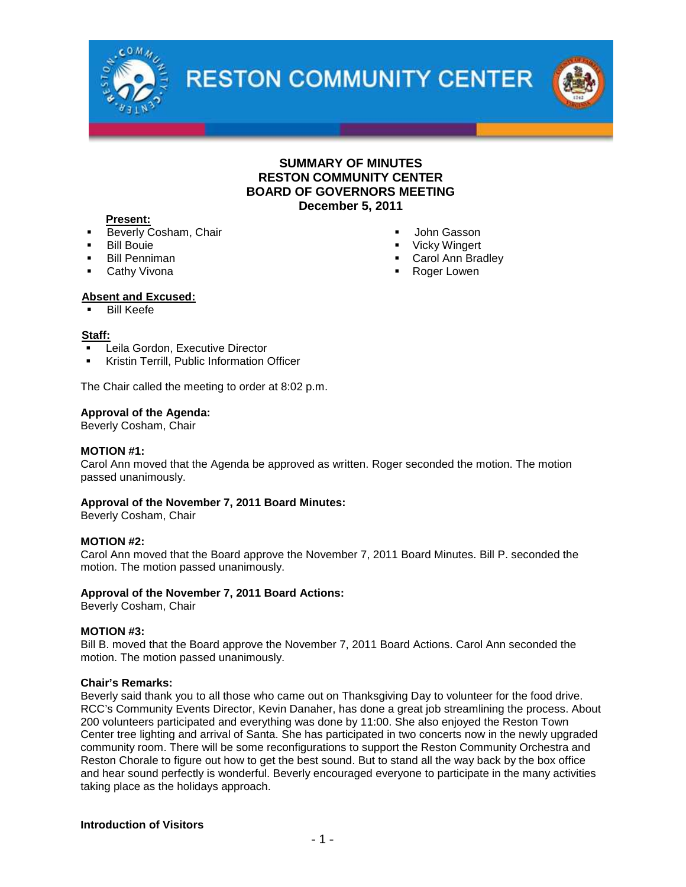

**RESTON COMMUNITY CENTER** 



#### **Present:**

- **Beverly Cosham, Chair**
- Bill Bouie
- Bill Penniman
- Cathy Vivona
- Vicky Wingert Carol Ann Bradley
	- Roger Lowen

John Gasson

## **Absent and Excused:**

Bill Keefe

#### **Staff:**

- Leila Gordon, Executive Director
- Kristin Terrill, Public Information Officer

The Chair called the meeting to order at 8:02 p.m.

#### **Approval of the Agenda:**

Beverly Cosham, Chair

#### **MOTION #1:**

Carol Ann moved that the Agenda be approved as written. Roger seconded the motion. The motion passed unanimously.

#### **Approval of the November 7, 2011 Board Minutes:**

Beverly Cosham, Chair

#### **MOTION #2:**

Carol Ann moved that the Board approve the November 7, 2011 Board Minutes. Bill P. seconded the motion. The motion passed unanimously.

#### **Approval of the November 7, 2011 Board Actions:**

Beverly Cosham, Chair

#### **MOTION #3:**

Bill B. moved that the Board approve the November 7, 2011 Board Actions. Carol Ann seconded the motion. The motion passed unanimously.

#### **Chair's Remarks:**

Beverly said thank you to all those who came out on Thanksgiving Day to volunteer for the food drive. RCC's Community Events Director, Kevin Danaher, has done a great job streamlining the process. About 200 volunteers participated and everything was done by 11:00. She also enjoyed the Reston Town Center tree lighting and arrival of Santa. She has participated in two concerts now in the newly upgraded community room. There will be some reconfigurations to support the Reston Community Orchestra and Reston Chorale to figure out how to get the best sound. But to stand all the way back by the box office and hear sound perfectly is wonderful. Beverly encouraged everyone to participate in the many activities taking place as the holidays approach.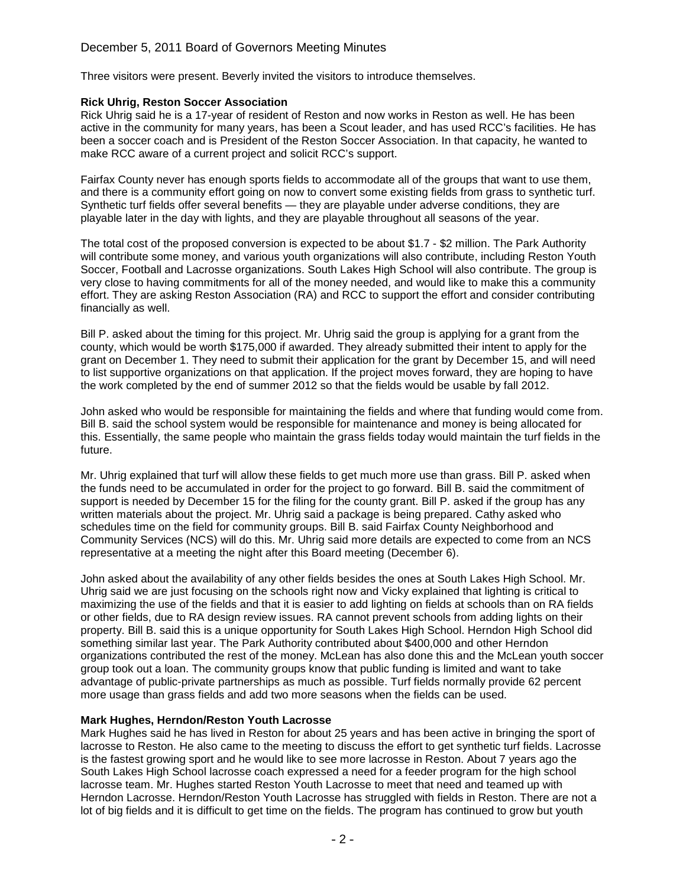## December 5, 2011 Board of Governors Meeting Minutes

Three visitors were present. Beverly invited the visitors to introduce themselves.

## **Rick Uhrig, Reston Soccer Association**

Rick Uhrig said he is a 17-year of resident of Reston and now works in Reston as well. He has been active in the community for many years, has been a Scout leader, and has used RCC's facilities. He has been a soccer coach and is President of the Reston Soccer Association. In that capacity, he wanted to make RCC aware of a current project and solicit RCC's support.

Fairfax County never has enough sports fields to accommodate all of the groups that want to use them, and there is a community effort going on now to convert some existing fields from grass to synthetic turf. Synthetic turf fields offer several benefits — they are playable under adverse conditions, they are playable later in the day with lights, and they are playable throughout all seasons of the year.

The total cost of the proposed conversion is expected to be about \$1.7 - \$2 million. The Park Authority will contribute some money, and various youth organizations will also contribute, including Reston Youth Soccer, Football and Lacrosse organizations. South Lakes High School will also contribute. The group is very close to having commitments for all of the money needed, and would like to make this a community effort. They are asking Reston Association (RA) and RCC to support the effort and consider contributing financially as well.

Bill P. asked about the timing for this project. Mr. Uhrig said the group is applying for a grant from the county, which would be worth \$175,000 if awarded. They already submitted their intent to apply for the grant on December 1. They need to submit their application for the grant by December 15, and will need to list supportive organizations on that application. If the project moves forward, they are hoping to have the work completed by the end of summer 2012 so that the fields would be usable by fall 2012.

John asked who would be responsible for maintaining the fields and where that funding would come from. Bill B. said the school system would be responsible for maintenance and money is being allocated for this. Essentially, the same people who maintain the grass fields today would maintain the turf fields in the future.

Mr. Uhrig explained that turf will allow these fields to get much more use than grass. Bill P. asked when the funds need to be accumulated in order for the project to go forward. Bill B. said the commitment of support is needed by December 15 for the filing for the county grant. Bill P. asked if the group has any written materials about the project. Mr. Uhrig said a package is being prepared. Cathy asked who schedules time on the field for community groups. Bill B. said Fairfax County Neighborhood and Community Services (NCS) will do this. Mr. Uhrig said more details are expected to come from an NCS representative at a meeting the night after this Board meeting (December 6).

John asked about the availability of any other fields besides the ones at South Lakes High School. Mr. Uhrig said we are just focusing on the schools right now and Vicky explained that lighting is critical to maximizing the use of the fields and that it is easier to add lighting on fields at schools than on RA fields or other fields, due to RA design review issues. RA cannot prevent schools from adding lights on their property. Bill B. said this is a unique opportunity for South Lakes High School. Herndon High School did something similar last year. The Park Authority contributed about \$400,000 and other Herndon organizations contributed the rest of the money. McLean has also done this and the McLean youth soccer group took out a loan. The community groups know that public funding is limited and want to take advantage of public-private partnerships as much as possible. Turf fields normally provide 62 percent more usage than grass fields and add two more seasons when the fields can be used.

## **Mark Hughes, Herndon/Reston Youth Lacrosse**

Mark Hughes said he has lived in Reston for about 25 years and has been active in bringing the sport of lacrosse to Reston. He also came to the meeting to discuss the effort to get synthetic turf fields. Lacrosse is the fastest growing sport and he would like to see more lacrosse in Reston. About 7 years ago the South Lakes High School lacrosse coach expressed a need for a feeder program for the high school lacrosse team. Mr. Hughes started Reston Youth Lacrosse to meet that need and teamed up with Herndon Lacrosse. Herndon/Reston Youth Lacrosse has struggled with fields in Reston. There are not a lot of big fields and it is difficult to get time on the fields. The program has continued to grow but youth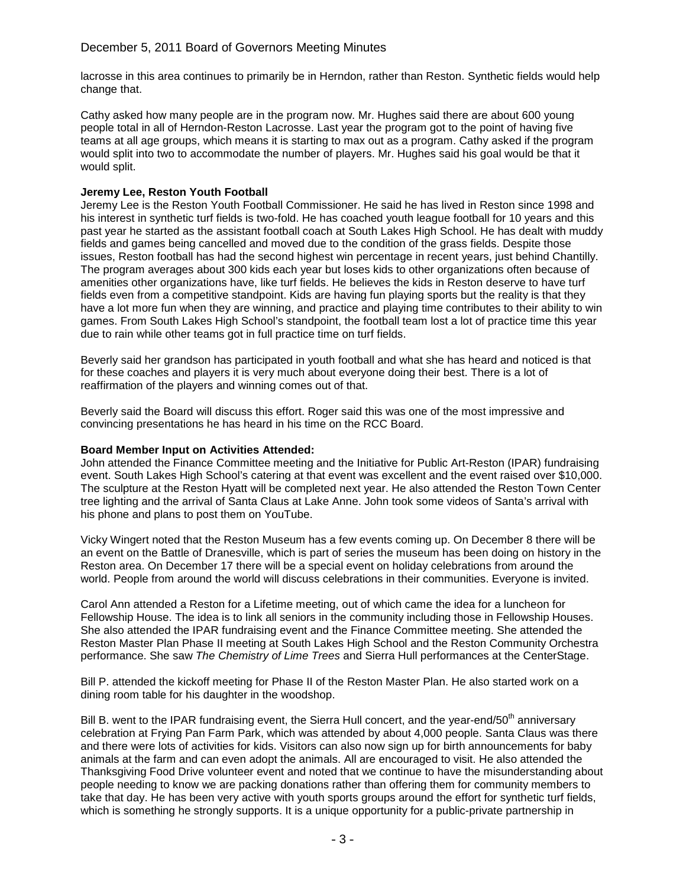lacrosse in this area continues to primarily be in Herndon, rather than Reston. Synthetic fields would help change that.

Cathy asked how many people are in the program now. Mr. Hughes said there are about 600 young people total in all of Herndon-Reston Lacrosse. Last year the program got to the point of having five teams at all age groups, which means it is starting to max out as a program. Cathy asked if the program would split into two to accommodate the number of players. Mr. Hughes said his goal would be that it would split.

## **Jeremy Lee, Reston Youth Football**

Jeremy Lee is the Reston Youth Football Commissioner. He said he has lived in Reston since 1998 and his interest in synthetic turf fields is two-fold. He has coached youth league football for 10 years and this past year he started as the assistant football coach at South Lakes High School. He has dealt with muddy fields and games being cancelled and moved due to the condition of the grass fields. Despite those issues, Reston football has had the second highest win percentage in recent years, just behind Chantilly. The program averages about 300 kids each year but loses kids to other organizations often because of amenities other organizations have, like turf fields. He believes the kids in Reston deserve to have turf fields even from a competitive standpoint. Kids are having fun playing sports but the reality is that they have a lot more fun when they are winning, and practice and playing time contributes to their ability to win games. From South Lakes High School's standpoint, the football team lost a lot of practice time this year due to rain while other teams got in full practice time on turf fields.

Beverly said her grandson has participated in youth football and what she has heard and noticed is that for these coaches and players it is very much about everyone doing their best. There is a lot of reaffirmation of the players and winning comes out of that.

Beverly said the Board will discuss this effort. Roger said this was one of the most impressive and convincing presentations he has heard in his time on the RCC Board.

## **Board Member Input on Activities Attended:**

John attended the Finance Committee meeting and the Initiative for Public Art-Reston (IPAR) fundraising event. South Lakes High School's catering at that event was excellent and the event raised over \$10,000. The sculpture at the Reston Hyatt will be completed next year. He also attended the Reston Town Center tree lighting and the arrival of Santa Claus at Lake Anne. John took some videos of Santa's arrival with his phone and plans to post them on YouTube.

Vicky Wingert noted that the Reston Museum has a few events coming up. On December 8 there will be an event on the Battle of Dranesville, which is part of series the museum has been doing on history in the Reston area. On December 17 there will be a special event on holiday celebrations from around the world. People from around the world will discuss celebrations in their communities. Everyone is invited.

Carol Ann attended a Reston for a Lifetime meeting, out of which came the idea for a luncheon for Fellowship House. The idea is to link all seniors in the community including those in Fellowship Houses. She also attended the IPAR fundraising event and the Finance Committee meeting. She attended the Reston Master Plan Phase II meeting at South Lakes High School and the Reston Community Orchestra performance. She saw *The Chemistry of Lime Trees* and Sierra Hull performances at the CenterStage.

Bill P. attended the kickoff meeting for Phase II of the Reston Master Plan. He also started work on a dining room table for his daughter in the woodshop.

Bill B. went to the IPAR fundraising event, the Sierra Hull concert, and the year-end/50<sup>th</sup> anniversary celebration at Frying Pan Farm Park, which was attended by about 4,000 people. Santa Claus was there and there were lots of activities for kids. Visitors can also now sign up for birth announcements for baby animals at the farm and can even adopt the animals. All are encouraged to visit. He also attended the Thanksgiving Food Drive volunteer event and noted that we continue to have the misunderstanding about people needing to know we are packing donations rather than offering them for community members to take that day. He has been very active with youth sports groups around the effort for synthetic turf fields, which is something he strongly supports. It is a unique opportunity for a public-private partnership in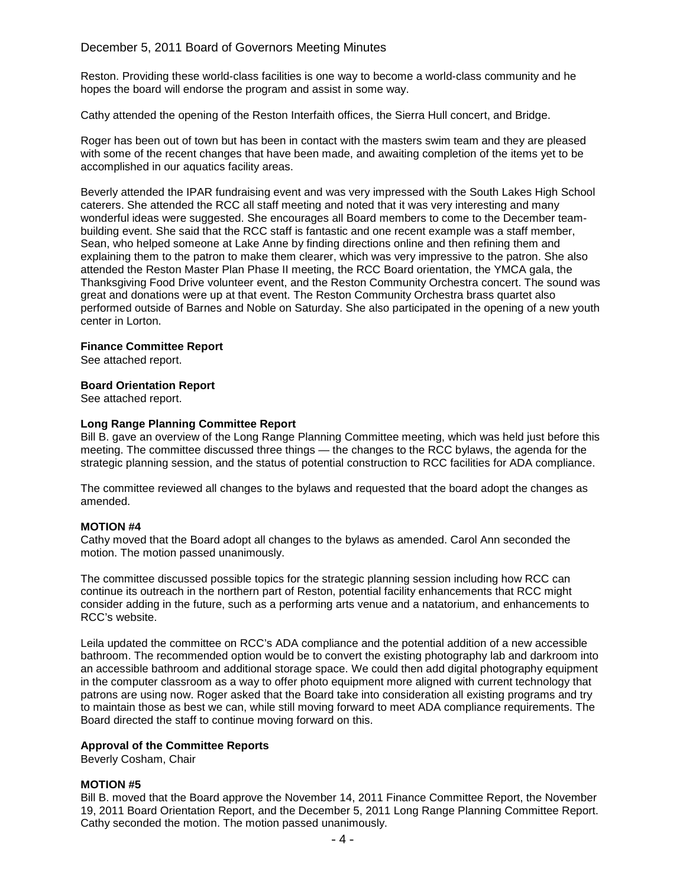## December 5, 2011 Board of Governors Meeting Minutes

Reston. Providing these world-class facilities is one way to become a world-class community and he hopes the board will endorse the program and assist in some way.

Cathy attended the opening of the Reston Interfaith offices, the Sierra Hull concert, and Bridge.

Roger has been out of town but has been in contact with the masters swim team and they are pleased with some of the recent changes that have been made, and awaiting completion of the items yet to be accomplished in our aquatics facility areas.

Beverly attended the IPAR fundraising event and was very impressed with the South Lakes High School caterers. She attended the RCC all staff meeting and noted that it was very interesting and many wonderful ideas were suggested. She encourages all Board members to come to the December teambuilding event. She said that the RCC staff is fantastic and one recent example was a staff member, Sean, who helped someone at Lake Anne by finding directions online and then refining them and explaining them to the patron to make them clearer, which was very impressive to the patron. She also attended the Reston Master Plan Phase II meeting, the RCC Board orientation, the YMCA gala, the Thanksgiving Food Drive volunteer event, and the Reston Community Orchestra concert. The sound was great and donations were up at that event. The Reston Community Orchestra brass quartet also performed outside of Barnes and Noble on Saturday. She also participated in the opening of a new youth center in Lorton.

## **Finance Committee Report**

See attached report.

## **Board Orientation Report**

See attached report.

## **Long Range Planning Committee Report**

Bill B. gave an overview of the Long Range Planning Committee meeting, which was held just before this meeting. The committee discussed three things — the changes to the RCC bylaws, the agenda for the strategic planning session, and the status of potential construction to RCC facilities for ADA compliance.

The committee reviewed all changes to the bylaws and requested that the board adopt the changes as amended.

#### **MOTION #4**

Cathy moved that the Board adopt all changes to the bylaws as amended. Carol Ann seconded the motion. The motion passed unanimously.

The committee discussed possible topics for the strategic planning session including how RCC can continue its outreach in the northern part of Reston, potential facility enhancements that RCC might consider adding in the future, such as a performing arts venue and a natatorium, and enhancements to RCC's website.

Leila updated the committee on RCC's ADA compliance and the potential addition of a new accessible bathroom. The recommended option would be to convert the existing photography lab and darkroom into an accessible bathroom and additional storage space. We could then add digital photography equipment in the computer classroom as a way to offer photo equipment more aligned with current technology that patrons are using now. Roger asked that the Board take into consideration all existing programs and try to maintain those as best we can, while still moving forward to meet ADA compliance requirements. The Board directed the staff to continue moving forward on this.

#### **Approval of the Committee Reports**

Beverly Cosham, Chair

### **MOTION #5**

Bill B. moved that the Board approve the November 14, 2011 Finance Committee Report, the November 19, 2011 Board Orientation Report, and the December 5, 2011 Long Range Planning Committee Report. Cathy seconded the motion. The motion passed unanimously.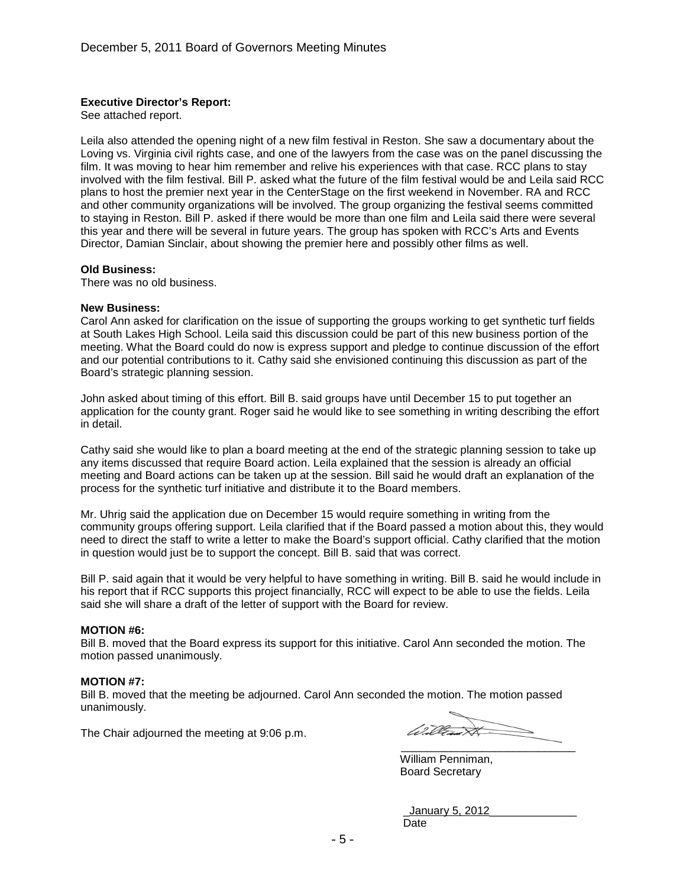## **Executive Director's Report:**

See attached report.

Leila also attended the opening night of a new film festival in Reston. She saw a documentary about the Loving vs. Virginia civil rights case, and one of the lawyers from the case was on the panel discussing the film. It was moving to hear him remember and relive his experiences with that case. RCC plans to stay involved with the film festival. Bill P. asked what the future of the film festival would be and Leila said RCC plans to host the premier next year in the CenterStage on the first weekend in November. RA and RCC and other community organizations will be involved. The group organizing the festival seems committed to staying in Reston. Bill P. asked if there would be more than one film and Leila said there were several this year and there will be several in future years. The group has spoken with RCC's Arts and Events Director, Damian Sinclair, about showing the premier here and possibly other films as well.

#### **Old Business:**

There was no old business.

#### **New Business:**

Carol Ann asked for clarification on the issue of supporting the groups working to get synthetic turf fields at South Lakes High School. Leila said this discussion could be part of this new business portion of the meeting. What the Board could do now is express support and pledge to continue discussion of the effort and our potential contributions to it. Cathy said she envisioned continuing this discussion as part of the Board's strategic planning session.

John asked about timing of this effort. Bill B. said groups have until December 15 to put together an application for the county grant. Roger said he would like to see something in writing describing the effort in detail.

Cathy said she would like to plan a board meeting at the end of the strategic planning session to take up any items discussed that require Board action. Leila explained that the session is already an official meeting and Board actions can be taken up at the session. Bill said he would draft an explanation of the process for the synthetic turf initiative and distribute it to the Board members.

Mr. Uhrig said the application due on December 15 would require something in writing from the community groups offering support. Leila clarified that if the Board passed a motion about this, they would need to direct the staff to write a letter to make the Board's support official. Cathy clarified that the motion in question would just be to support the concept. Bill B. said that was correct.

Bill P. said again that it would be very helpful to have something in writing. Bill B. said he would include in his report that if RCC supports this project financially, RCC will expect to be able to use the fields. Leila said she will share a draft of the letter of support with the Board for review.

#### **MOTION #6:**

Bill B. moved that the Board express its support for this initiative. Carol Ann seconded the motion. The motion passed unanimously.

#### **MOTION #7:**

Bill B. moved that the meeting be adjourned. Carol Ann seconded the motion. The motion passed unanimously.

The Chair adjourned the meeting at 9:06 p.m.

 $\overline{\phantom{a}}$  , where  $\overline{\phantom{a}}$  , where  $\overline{\phantom{a}}$  ,  $\overline{\phantom{a}}$  ,  $\overline{\phantom{a}}$  ,  $\overline{\phantom{a}}$  ,  $\overline{\phantom{a}}$  ,  $\overline{\phantom{a}}$  ,  $\overline{\phantom{a}}$  ,  $\overline{\phantom{a}}$  ,  $\overline{\phantom{a}}$  ,  $\overline{\phantom{a}}$  ,  $\overline{\phantom{a}}$  ,  $\overline{\phantom{a}}$  ,  $\overline{\phantom{a}}$  ,

William Penniman, Board Secretary

\_January 5, 2012\_\_\_\_\_\_\_\_\_\_\_\_\_\_ Date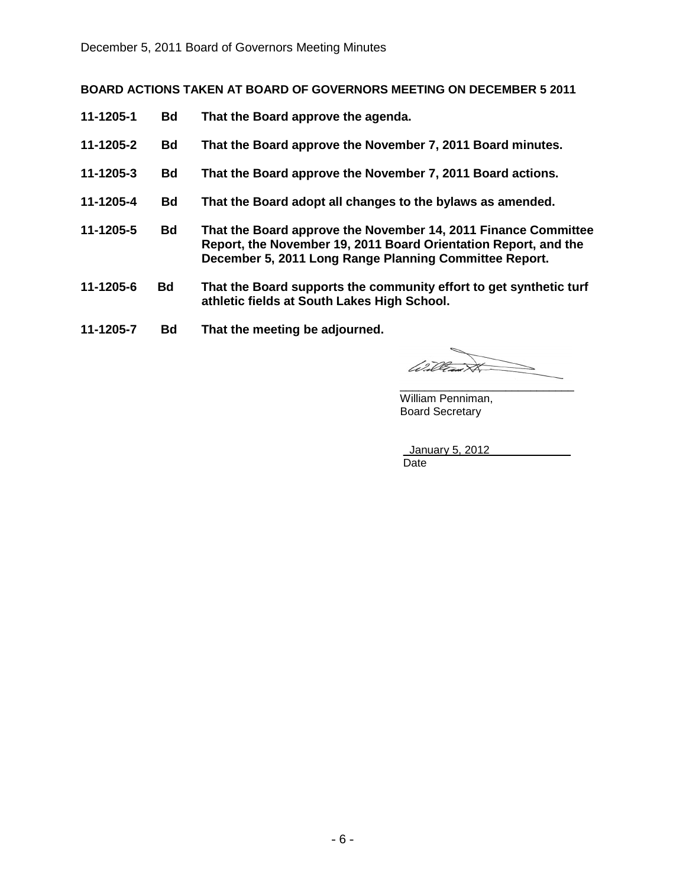# **BOARD ACTIONS TAKEN AT BOARD OF GOVERNORS MEETING ON DECEMBER 5 2011**

- **11-1205-1 Bd That the Board approve the agenda.**
- **11-1205-2 Bd That the Board approve the November 7, 2011 Board minutes.**
- **11-1205-3 Bd That the Board approve the November 7, 2011 Board actions.**
- **11-1205-4 Bd That the Board adopt all changes to the bylaws as amended.**
- **11-1205-5 Bd That the Board approve the November 14, 2011 Finance Committee Report, the November 19, 2011 Board Orientation Report, and the December 5, 2011 Long Range Planning Committee Report.**
- **11-1205-6 Bd That the Board supports the community effort to get synthetic turf athletic fields at South Lakes High School.**
- **11-1205-7 Bd That the meeting be adjourned.**

William \_\_\_\_\_\_\_\_\_\_\_\_\_\_\_\_\_\_\_\_\_\_\_\_\_\_\_\_

William Penniman, Board Secretary

\_January 5, 2012 \_\_\_\_\_\_\_\_\_\_\_\_ Date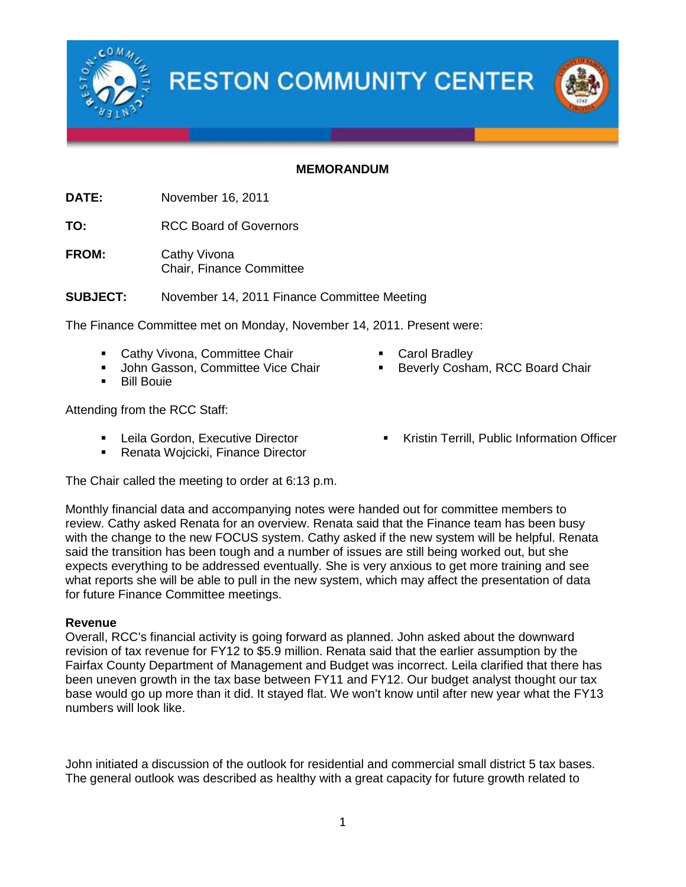

**RESTON COMMUNITY CENTER** 

## **MEMORANDUM**

**DATE:** November 16, 2011

**TO:** RCC Board of Governors

**FROM:** Cathy Vivona Chair, Finance Committee

**SUBJECT:** November 14, 2011 Finance Committee Meeting

The Finance Committee met on Monday, November 14, 2011. Present were:

- Cathy Vivona, Committee Chair
- John Gasson, Committee Vice Chair
- **Bill Bouie**

Attending from the RCC Staff:

- **EXECUTE:** Leila Gordon, Executive Director
- Renata Wojcicki, Finance Director

The Chair called the meeting to order at 6:13 p.m.

Monthly financial data and accompanying notes were handed out for committee members to review. Cathy asked Renata for an overview. Renata said that the Finance team has been busy with the change to the new FOCUS system. Cathy asked if the new system will be helpful. Renata said the transition has been tough and a number of issues are still being worked out, but she expects everything to be addressed eventually. She is very anxious to get more training and see what reports she will be able to pull in the new system, which may affect the presentation of data for future Finance Committee meetings.

## **Revenue**

Overall, RCC's financial activity is going forward as planned. John asked about the downward revision of tax revenue for FY12 to \$5.9 million. Renata said that the earlier assumption by the Fairfax County Department of Management and Budget was incorrect. Leila clarified that there has been uneven growth in the tax base between FY11 and FY12. Our budget analyst thought our tax base would go up more than it did. It stayed flat. We won't know until after new year what the FY13 numbers will look like.

John initiated a discussion of the outlook for residential and commercial small district 5 tax bases. The general outlook was described as healthy with a great capacity for future growth related to

- Carol Bradley
- Beverly Cosham, RCC Board Chair
- **Kristin Terrill, Public Information Officer**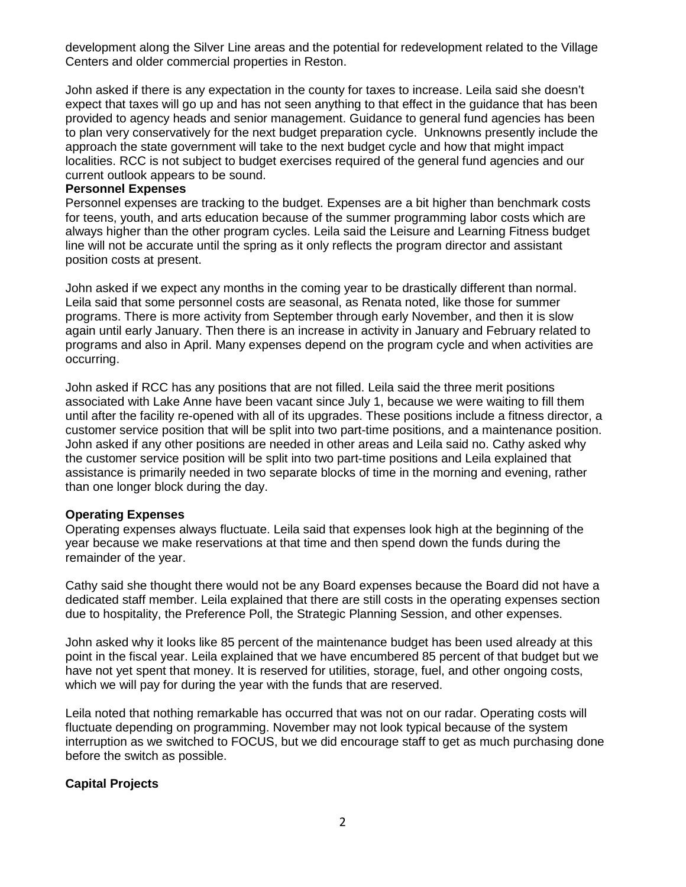development along the Silver Line areas and the potential for redevelopment related to the Village Centers and older commercial properties in Reston.

John asked if there is any expectation in the county for taxes to increase. Leila said she doesn't expect that taxes will go up and has not seen anything to that effect in the guidance that has been provided to agency heads and senior management. Guidance to general fund agencies has been to plan very conservatively for the next budget preparation cycle. Unknowns presently include the approach the state government will take to the next budget cycle and how that might impact localities. RCC is not subject to budget exercises required of the general fund agencies and our current outlook appears to be sound.

## **Personnel Expenses**

Personnel expenses are tracking to the budget. Expenses are a bit higher than benchmark costs for teens, youth, and arts education because of the summer programming labor costs which are always higher than the other program cycles. Leila said the Leisure and Learning Fitness budget line will not be accurate until the spring as it only reflects the program director and assistant position costs at present.

John asked if we expect any months in the coming year to be drastically different than normal. Leila said that some personnel costs are seasonal, as Renata noted, like those for summer programs. There is more activity from September through early November, and then it is slow again until early January. Then there is an increase in activity in January and February related to programs and also in April. Many expenses depend on the program cycle and when activities are occurring.

John asked if RCC has any positions that are not filled. Leila said the three merit positions associated with Lake Anne have been vacant since July 1, because we were waiting to fill them until after the facility re-opened with all of its upgrades. These positions include a fitness director, a customer service position that will be split into two part-time positions, and a maintenance position. John asked if any other positions are needed in other areas and Leila said no. Cathy asked why the customer service position will be split into two part-time positions and Leila explained that assistance is primarily needed in two separate blocks of time in the morning and evening, rather than one longer block during the day.

## **Operating Expenses**

Operating expenses always fluctuate. Leila said that expenses look high at the beginning of the year because we make reservations at that time and then spend down the funds during the remainder of the year.

Cathy said she thought there would not be any Board expenses because the Board did not have a dedicated staff member. Leila explained that there are still costs in the operating expenses section due to hospitality, the Preference Poll, the Strategic Planning Session, and other expenses.

John asked why it looks like 85 percent of the maintenance budget has been used already at this point in the fiscal year. Leila explained that we have encumbered 85 percent of that budget but we have not yet spent that money. It is reserved for utilities, storage, fuel, and other ongoing costs, which we will pay for during the year with the funds that are reserved.

Leila noted that nothing remarkable has occurred that was not on our radar. Operating costs will fluctuate depending on programming. November may not look typical because of the system interruption as we switched to FOCUS, but we did encourage staff to get as much purchasing done before the switch as possible.

## **Capital Projects**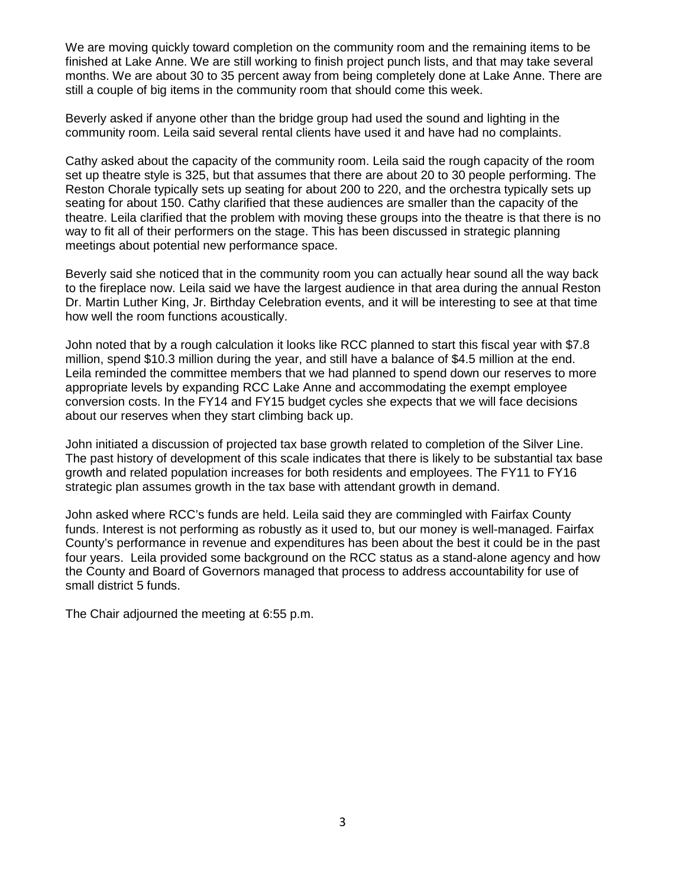We are moving quickly toward completion on the community room and the remaining items to be finished at Lake Anne. We are still working to finish project punch lists, and that may take several months. We are about 30 to 35 percent away from being completely done at Lake Anne. There are still a couple of big items in the community room that should come this week.

Beverly asked if anyone other than the bridge group had used the sound and lighting in the community room. Leila said several rental clients have used it and have had no complaints.

Cathy asked about the capacity of the community room. Leila said the rough capacity of the room set up theatre style is 325, but that assumes that there are about 20 to 30 people performing. The Reston Chorale typically sets up seating for about 200 to 220, and the orchestra typically sets up seating for about 150. Cathy clarified that these audiences are smaller than the capacity of the theatre. Leila clarified that the problem with moving these groups into the theatre is that there is no way to fit all of their performers on the stage. This has been discussed in strategic planning meetings about potential new performance space.

Beverly said she noticed that in the community room you can actually hear sound all the way back to the fireplace now. Leila said we have the largest audience in that area during the annual Reston Dr. Martin Luther King, Jr. Birthday Celebration events, and it will be interesting to see at that time how well the room functions acoustically.

John noted that by a rough calculation it looks like RCC planned to start this fiscal year with \$7.8 million, spend \$10.3 million during the year, and still have a balance of \$4.5 million at the end. Leila reminded the committee members that we had planned to spend down our reserves to more appropriate levels by expanding RCC Lake Anne and accommodating the exempt employee conversion costs. In the FY14 and FY15 budget cycles she expects that we will face decisions about our reserves when they start climbing back up.

John initiated a discussion of projected tax base growth related to completion of the Silver Line. The past history of development of this scale indicates that there is likely to be substantial tax base growth and related population increases for both residents and employees. The FY11 to FY16 strategic plan assumes growth in the tax base with attendant growth in demand.

John asked where RCC's funds are held. Leila said they are commingled with Fairfax County funds. Interest is not performing as robustly as it used to, but our money is well-managed. Fairfax County's performance in revenue and expenditures has been about the best it could be in the past four years. Leila provided some background on the RCC status as a stand-alone agency and how the County and Board of Governors managed that process to address accountability for use of small district 5 funds.

The Chair adjourned the meeting at 6:55 p.m.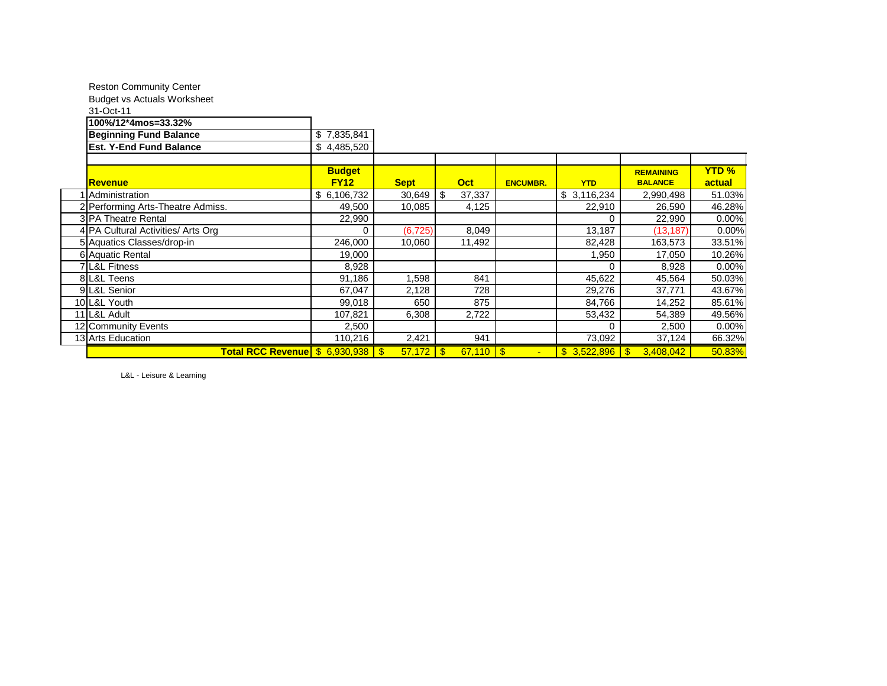| <b>Reston Community Center</b>      |               |             |            |               |                 |             |                         |              |
|-------------------------------------|---------------|-------------|------------|---------------|-----------------|-------------|-------------------------|--------------|
| <b>Budget vs Actuals Worksheet</b>  |               |             |            |               |                 |             |                         |              |
| 31-Oct-11                           |               |             |            |               |                 |             |                         |              |
| 100%/12*4mos=33.32%                 |               |             |            |               |                 |             |                         |              |
| <b>Beginning Fund Balance</b>       | \$7,835,841   |             |            |               |                 |             |                         |              |
| <b>Est. Y-End Fund Balance</b>      | \$4,485,520   |             |            |               |                 |             |                         |              |
|                                     |               |             |            |               |                 |             |                         |              |
|                                     | <b>Budget</b> |             |            |               |                 |             | <b>REMAINING</b>        | <b>YTD %</b> |
| Revenue                             | <b>FY12</b>   | <b>Sept</b> | <b>Oct</b> |               | <b>ENCUMBR.</b> | <b>YTD</b>  | <b>BALANCE</b>          | actual       |
| 1 Administration                    | \$6,106,732   | 30,649      | \$         | 37,337        |                 | \$3,116,234 | 2,990,498               | 51.03%       |
| 2 Performing Arts-Theatre Admiss.   | 49,500        | 10,085      |            | 4,125         |                 | 22,910      | 26,590                  | 46.28%       |
| 3 PA Theatre Rental                 | 22,990        |             |            |               |                 | 0           | 22,990                  | 0.00%        |
| 4 PA Cultural Activities/ Arts Org  | 0             | (6, 725)    |            | 8,049         |                 | 13,187      | (13, 187)               | 0.00%        |
| 5 Aquatics Classes/drop-in          | 246,000       | 10,060      |            | 11,492        |                 | 82,428      | 163,573                 | 33.51%       |
| 6 Aquatic Rental                    | 19,000        |             |            |               |                 | 1,950       | 17,050                  | 10.26%       |
| 7 L&L Fitness                       | 8,928         |             |            |               |                 | 0           | 8,928                   | 0.00%        |
| 8 L&L Teens                         | 91,186        | 1,598       |            | 841           |                 | 45,622      | 45,564                  | 50.03%       |
| 9 L&L Senior                        | 67,047        | 2,128       |            | 728           |                 | 29,276      | 37,771                  | 43.67%       |
| 10 L&L Youth                        | 99,018        | 650         |            | 875           |                 | 84,766      | 14,252                  | 85.61%       |
| 11 L&L Adult                        | 107,821       | 6,308       |            | 2,722         |                 | 53,432      | 54,389                  | 49.56%       |
| 12 Community Events                 | 2,500         |             |            |               |                 | 0           | 2,500                   | 0.00%        |
| 13 Arts Education                   | 110,216       | 2,421       |            | 941           |                 | 73,092      | 37,124                  | 66.32%       |
| Total RCC Revenue \$ 6,930,938   \$ |               | $57,172$ \$ |            | $67,110$ \ \$ |                 | \$3,522,896 | 3,408,042<br>$\sqrt{3}$ | 50.83%       |

L&L - Leisure & Learning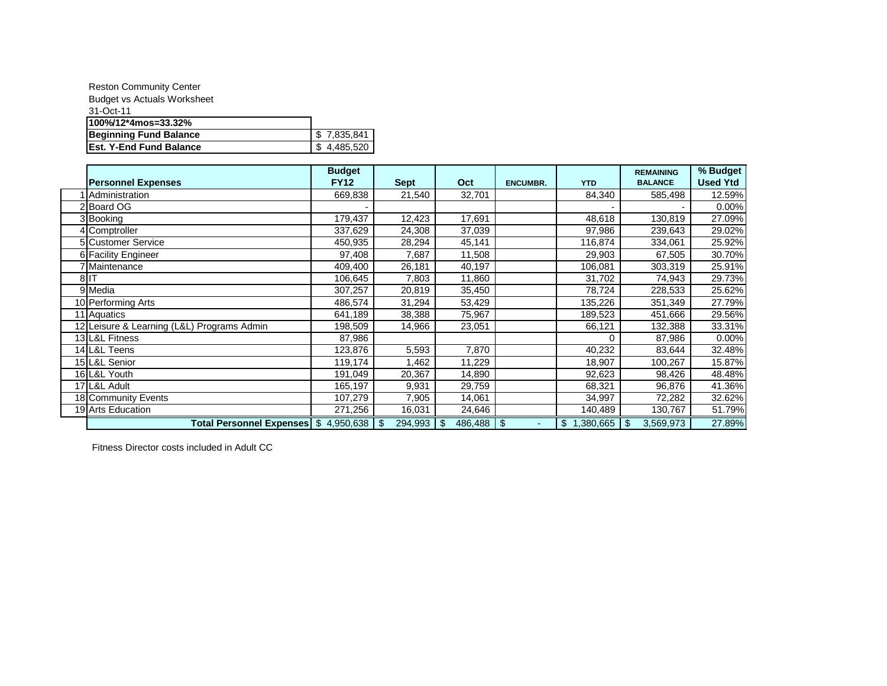| <b>Reston Community Center</b>     |             |
|------------------------------------|-------------|
| <b>Budget vs Actuals Worksheet</b> |             |
| 31-Oct-11                          |             |
| 100%/12*4mos=33.32%                |             |
| <b>Beginning Fund Balance</b>      | \$7,835,841 |
| Est. Y-End Fund Balance            | \$4,485,520 |

|                                             | <b>Budget</b> |             |        |                 |                              | <b>REMAINING</b> | % Budget        |
|---------------------------------------------|---------------|-------------|--------|-----------------|------------------------------|------------------|-----------------|
| <b>Personnel Expenses</b>                   | <b>FY12</b>   | <b>Sept</b> | Oct    | <b>ENCUMBR.</b> | <b>YTD</b>                   | <b>BALANCE</b>   | <b>Used Ytd</b> |
| Administration                              | 669,838       | 21,540      | 32,701 |                 | 84,340                       | 585,498          | 12.59%          |
| 2 Board OG                                  |               |             |        |                 |                              |                  | 0.00%           |
| 3 Booking                                   | 179,437       | 12,423      | 17,691 |                 | 48,618                       | 130,819          | 27.09%          |
| 4 Comptroller                               | 337,629       | 24,308      | 37,039 |                 | 97,986                       | 239,643          | 29.02%          |
| 5 Customer Service                          | 450,935       | 28,294      | 45,141 |                 | 116,874                      | 334,061          | 25.92%          |
| 6 Facility Engineer                         | 97,408        | 7,687       | 11,508 |                 | 29,903                       | 67,505           | 30.70%          |
| 7 Maintenance                               | 409,400       | 26,181      | 40,197 |                 | 106,081                      | 303,319          | 25.91%          |
| 8IT                                         | 106,645       | 7,803       | 11,860 |                 | 31,702                       | 74,943           | 29.73%          |
| 9 Media                                     | 307,257       | 20,819      | 35,450 |                 | 78,724                       | 228,533          | 25.62%          |
| 10 Performing Arts                          | 486,574       | 31,294      | 53,429 |                 | 135,226                      | 351,349          | 27.79%          |
| 11 Aquatics                                 | 641,189       | 38,388      | 75,967 |                 | 189,523                      | 451,666          | 29.56%          |
| 12 Leisure & Learning (L&L) Programs Admin  | 198,509       | 14,966      | 23,051 |                 | 66,121                       | 132,388          | 33.31%          |
| 13 L&L Fitness                              | 87,986        |             |        |                 |                              | 87,986           | 0.00%           |
| 14 L&L Teens                                | 123,876       | 5,593       | 7,870  |                 | 40,232                       | 83,644           | 32.48%          |
| 15 L&L Senior                               | 119,174       | 1,462       | 11,229 |                 | 18,907                       | 100,267          | 15.87%          |
| 16 L&L Youth                                | 191,049       | 20,367      | 14,890 |                 | 92,623                       | 98,426           | 48.48%          |
| 17 L&L Adult                                | 165,197       | 9,931       | 29,759 |                 | 68,321                       | 96,876           | 41.36%          |
| 18 Community Events                         | 107,279       | 7,905       | 14,061 |                 | 34,997                       | 72,282           | 32.62%          |
| 19 Arts Education                           | 271,256       | 16,031      | 24,646 |                 | 140,489                      | 130,767          | 51.79%          |
| Total Personnel Expenses  \$ 4,950,638   \$ |               | 294,993     | \$     |                 | $1,380,665$ \$<br>$\sqrt{3}$ | 3,569,973        | 27.89%          |

Fitness Director costs included in Adult CC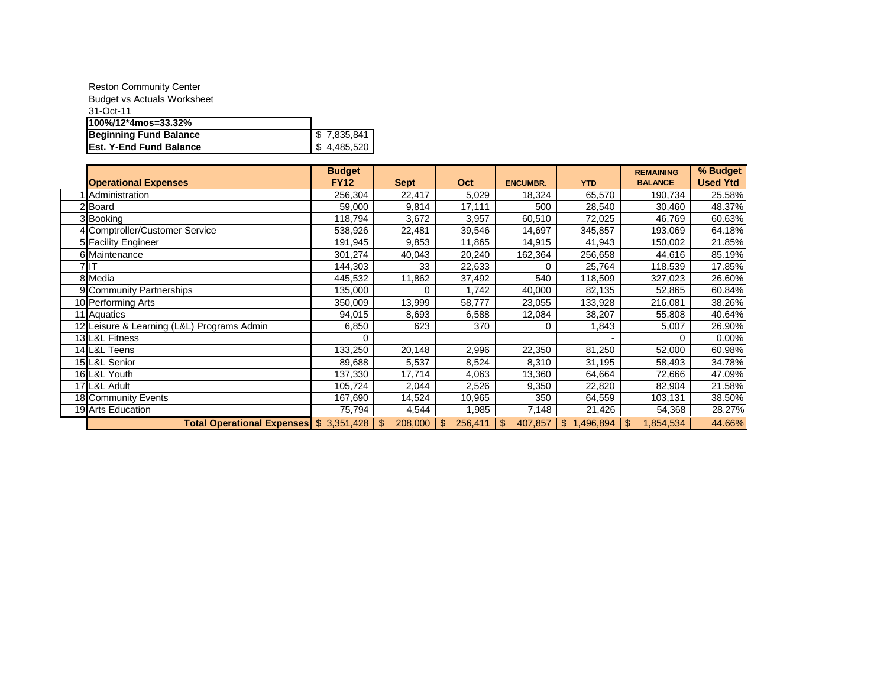| <b>Reston Community Center</b>     |             |
|------------------------------------|-------------|
| <b>Budget vs Actuals Worksheet</b> |             |
| 31-Oct-11                          |             |
| 100%/12*4mos=33.32%                |             |
| <b>Beginning Fund Balance</b>      | \$7.835.841 |
| <b>Est. Y-End Fund Balance</b>     | 4,485,520   |

|                                            | <b>Budget</b> |                |               |                           |                             | <b>REMAINING</b> | % Budget        |
|--------------------------------------------|---------------|----------------|---------------|---------------------------|-----------------------------|------------------|-----------------|
| <b>Operational Expenses</b>                | <b>FY12</b>   | <b>Sept</b>    | Oct           | <b>ENCUMBR.</b>           | <b>YTD</b>                  | <b>BALANCE</b>   | <b>Used Ytd</b> |
| Administration                             | 256,304       | 22,417         | 5,029         | 18,324                    | 65,570                      | 190,734          | 25.58%          |
| 2Board                                     | 59,000        | 9,814          | 17,111        | 500                       | 28,540                      | 30,460           | 48.37%          |
| 3 Booking                                  | 118,794       | 3,672          | 3,957         | 60,510                    | 72,025                      | 46,769           | 60.63%          |
| 4 Comptroller/Customer Service             | 538,926       | 22,481         | 39,546        | 14,697                    | 345,857                     | 193,069          | 64.18%          |
| 5 Facility Engineer                        | 191,945       | 9,853          | 11,865        | 14,915                    | 41,943                      | 150,002          | 21.85%          |
| 6 Maintenance                              | 301,274       | 40,043         | 20,240        | 162,364                   | 256,658                     | 44,616           | 85.19%          |
| 7 IT                                       | 144,303       | 33             | 22,633        |                           | 25,764                      | 118,539          | 17.85%          |
| 8 Media                                    | 445,532       | 11,862         | 37,492        | 540                       | 118,509                     | 327,023          | 26.60%          |
| 9 Community Partnerships                   | 135,000       |                | 1,742         | 40,000                    | 82,135                      | 52,865           | 60.84%          |
| 10 Performing Arts                         | 350,009       | 13,999         | 58,777        | 23,055                    | 133,928                     | 216,081          | 38.26%          |
| 11 Aquatics                                | 94,015        | 8,693          | 6,588         | 12,084                    | 38,207                      | 55,808           | 40.64%          |
| 12 Leisure & Learning (L&L) Programs Admin | 6,850         | 623            | 370           | 0                         | 1,843                       | 5,007            | 26.90%          |
| 13 L&L Fitness                             |               |                |               |                           |                             |                  | 0.00%           |
| 14 L&L Teens                               | 133,250       | 20,148         | 2,996         | 22,350                    | 81,250                      | 52,000           | 60.98%          |
| 15 L&L Senior                              | 89,688        | 5,537          | 8,524         | 8,310                     | 31,195                      | 58,493           | 34.78%          |
| 16 L&L Youth                               | 137,330       | 17,714         | 4,063         | 13,360                    | 64,664                      | 72,666           | 47.09%          |
| 17 L&L Adult                               | 105,724       | 2,044          | 2,526         | 9,350                     | 22,820                      | 82,904           | 21.58%          |
| 18 Community Events                        | 167,690       | 14,524         | 10,965        | 350                       | 64,559                      | 103,131          | 38.50%          |
| 19 Arts Education                          | 75,794        | 4,544          | l,985         | 7,148                     | 21,426                      | 54,368           | 28.27%          |
| Total Operational Expenses \$ 3,351,428    |               | 208,000<br>-\$ | 256,411<br>\$ | 407,857<br>$\mathfrak{S}$ | 1,496,894<br>$\mathfrak{S}$ | 1,854,534<br>\$. | 44.66%          |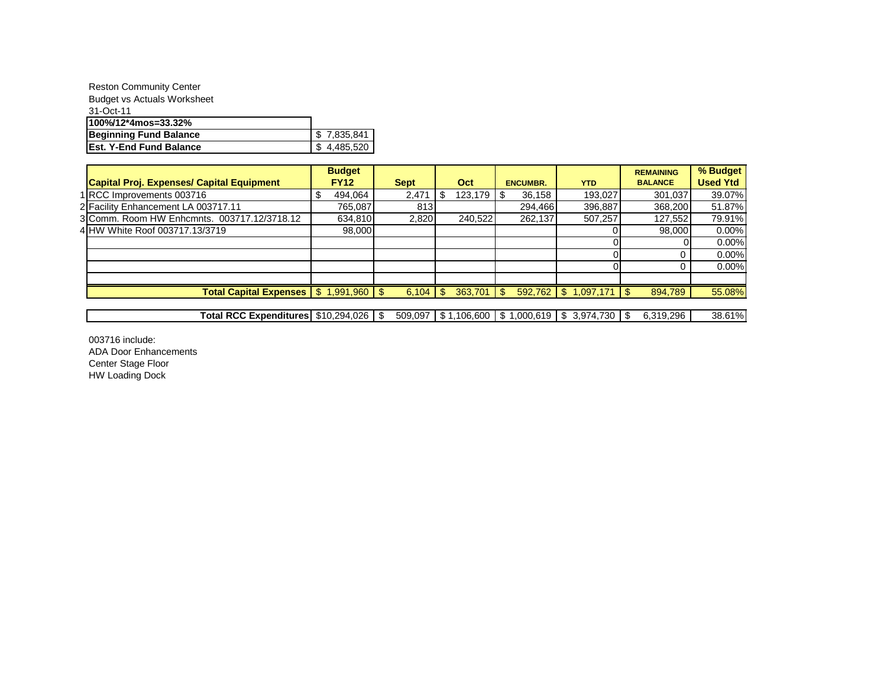| <b>Reston Community Center</b>     |             |  |  |  |  |
|------------------------------------|-------------|--|--|--|--|
| <b>Budget vs Actuals Worksheet</b> |             |  |  |  |  |
| 31-Oct-11                          |             |  |  |  |  |
| 100%/12*4mos=33.32%                |             |  |  |  |  |
| <b>Beginning Fund Balance</b>      | \$7,835,841 |  |  |  |  |
| <b>IEst. Y-End Fund Balance</b>    | 4,485,520   |  |  |  |  |

|                                                              | <b>Budget</b> |             |     |         |                 |                           | <b>REMAINING</b> | % Budget        |
|--------------------------------------------------------------|---------------|-------------|-----|---------|-----------------|---------------------------|------------------|-----------------|
| <b>Capital Proj. Expenses/ Capital Equipment</b>             | <b>FY12</b>   | <b>Sept</b> |     | Oct     | <b>ENCUMBR.</b> | <b>YTD</b>                | <b>BALANCE</b>   | <b>Used Ytd</b> |
| 1 RCC Improvements 003716                                    | 494,064       | 2,471       | \$. | 123,179 | 36,158<br>1 S   | 193,027                   | 301,037          | 39.07%          |
| 2 Facility Enhancement LA 003717.11                          | 765,087       | 813         |     |         | 294,466         | 396,887                   | 368,200          | 51.87%          |
| 3 Comm. Room HW Enhcmnts. 003717.12/3718.12                  | 634,810       | 2,820       |     | 240.522 | 262,137         | 507.257                   | 127,552          | 79.91%          |
| 4 HW White Roof 003717.13/3719                               | 98,000        |             |     |         |                 |                           | 98,000           | 0.00%           |
|                                                              |               |             |     |         |                 |                           |                  | 0.00%           |
|                                                              |               |             |     |         |                 |                           |                  | 0.00%           |
|                                                              |               |             |     |         |                 |                           |                  | 0.00%           |
|                                                              |               |             |     |         |                 |                           |                  |                 |
| Total Capital Expenses $\frac{1}{3}$ 1,991,960 $\frac{1}{3}$ |               |             |     | 363,701 | $\sqrt{3}$      | $592,762$ \$ 1,097,171 \$ | 894,789          | 55.08%          |
|                                                              |               |             |     |         |                 |                           |                  |                 |

Total RCC Expenditures | \$10,294,026 | \$ 509,097 | \$1,106,600 | \$1,000,619 | \$3,974,730 | \$6,319,296 | 38.61%

003716 include: ADA Door Enhancements Center Stage Floor HW Loading Dock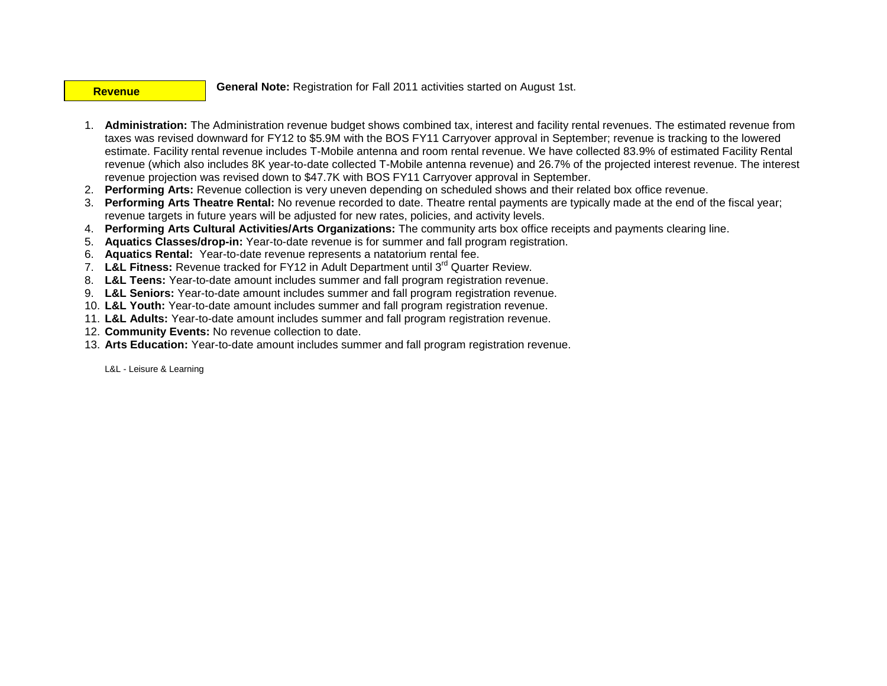#### **Revenue**

**General Note:** Registration for Fall 2011 activities started on August 1st.

- 1. **Administration:** The Administration revenue budget shows combined tax, interest and facility rental revenues. The estimated revenue from taxes was revised downward for FY12 to \$5.9M with the BOS FY11 Carryover approval in September; revenue is tracking to the lowered estimate. Facility rental revenue includes T-Mobile antenna and room rental revenue. We have collected 83.9% of estimated Facility Rental revenue (which also includes 8K year-to-date collected T-Mobile antenna revenue) and 26.7% of the projected interest revenue. The interest revenue projection was revised down to \$47.7K with BOS FY11 Carryover approval in September.
- 2. **Performing Arts:** Revenue collection is very uneven depending on scheduled shows and their related box office revenue.
- 3. **Performing Arts Theatre Rental:** No revenue recorded to date. Theatre rental payments are typically made at the end of the fiscal year; revenue targets in future years will be adjusted for new rates, policies, and activity levels.
- 4. **Performing Arts Cultural Activities/Arts Organizations:** The community arts box office receipts and payments clearing line.
- 5. **Aquatics Classes/drop-in:** Year-to-date revenue is for summer and fall program registration.
- 6. **Aquatics Rental:** Year-to-date revenue represents a natatorium rental fee.
- 7. **L&L Fitness:** Revenue tracked for FY12 in Adult Department until 3rd Quarter Review.
- 8. **L&L Teens:** Year-to-date amount includes summer and fall program registration revenue.
- 9. **L&L Seniors:** Year-to-date amount includes summer and fall program registration revenue.
- 10. **L&L Youth:** Year-to-date amount includes summer and fall program registration revenue.
- 11. **L&L Adults:** Year-to-date amount includes summer and fall program registration revenue.
- 12. **Community Events:** No revenue collection to date.
- 13. **Arts Education:** Year-to-date amount includes summer and fall program registration revenue.

L&L - Leisure & Learning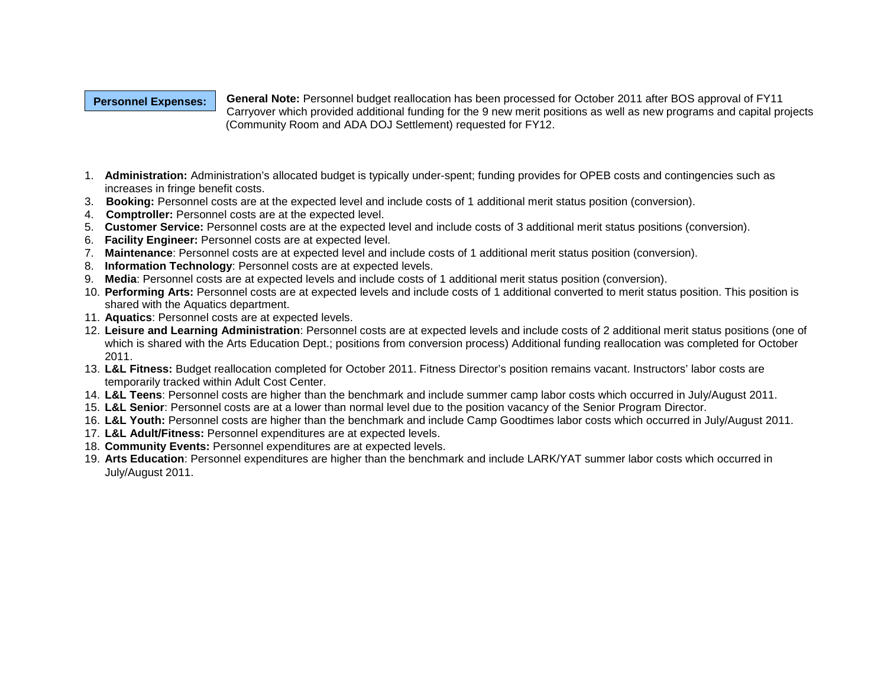## **Personnel Expenses:**

**General Note:** Personnel budget reallocation has been processed for October 2011 after BOS approval of FY11 Carryover which provided additional funding for the 9 new merit positions as well as new programs and capital projects (Community Room and ADA DOJ Settlement) requested for FY12.

- 1. **Administration:** Administration's allocated budget is typically under-spent; funding provides for OPEB costs and contingencies such as increases in fringe benefit costs.
- 3. **Booking:** Personnel costs are at the expected level and include costs of 1 additional merit status position (conversion).
- 4. **Comptroller:** Personnel costs are at the expected level.
- 5. **Customer Service:** Personnel costs are at the expected level and include costs of 3 additional merit status positions (conversion).
- 6. **Facility Engineer:** Personnel costs are at expected level.
- 7. **Maintenance**: Personnel costs are at expected level and include costs of 1 additional merit status position (conversion).
- 8. **Information Technology**: Personnel costs are at expected levels.
- 9. **Media**: Personnel costs are at expected levels and include costs of 1 additional merit status position (conversion).
- 10. **Performing Arts:** Personnel costs are at expected levels and include costs of 1 additional converted to merit status position. This position is shared with the Aquatics department.
- 11. **Aquatics**: Personnel costs are at expected levels.
- 12. **Leisure and Learning Administration**: Personnel costs are at expected levels and include costs of 2 additional merit status positions (one of which is shared with the Arts Education Dept.; positions from conversion process) Additional funding reallocation was completed for October 2011.
- 13. **L&L Fitness:** Budget reallocation completed for October 2011. Fitness Director's position remains vacant. Instructors' labor costs are temporarily tracked within Adult Cost Center.
- 14. **L&L Teens**: Personnel costs are higher than the benchmark and include summer camp labor costs which occurred in July/August 2011.
- 15. **L&L Senior**: Personnel costs are at a lower than normal level due to the position vacancy of the Senior Program Director.
- 16. **L&L Youth:** Personnel costs are higher than the benchmark and include Camp Goodtimes labor costs which occurred in July/August 2011.
- 17. **L&L Adult/Fitness:** Personnel expenditures are at expected levels.
- 18. **Community Events:** Personnel expenditures are at expected levels.
- 19. **Arts Education**: Personnel expenditures are higher than the benchmark and include LARK/YAT summer labor costs which occurred in July/August 2011.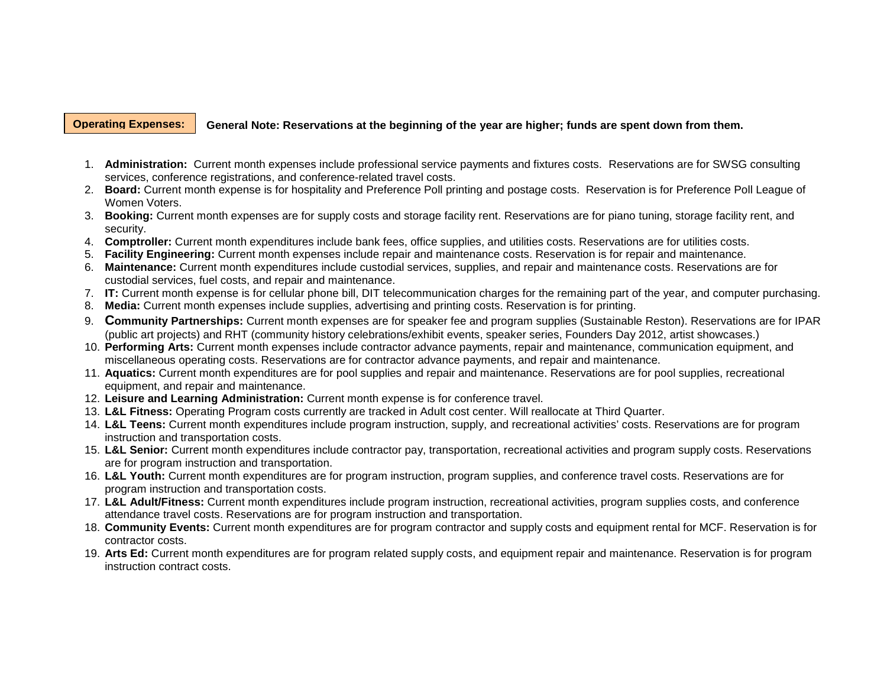#### **Operating Expenses:**

#### **General Note: Reservations at the beginning of the year are higher; funds are spent down from them.**

- 1. **Administration:** Current month expenses include professional service payments and fixtures costs. Reservations are for SWSG consulting services, conference registrations, and conference-related travel costs.
- 2. **Board:** Current month expense is for hospitality and Preference Poll printing and postage costs. Reservation is for Preference Poll League of Women Voters.
- 3. **Booking:** Current month expenses are for supply costs and storage facility rent. Reservations are for piano tuning, storage facility rent, and security.
- 4. **Comptroller:** Current month expenditures include bank fees, office supplies, and utilities costs. Reservations are for utilities costs.
- 5. **Facility Engineering:** Current month expenses include repair and maintenance costs. Reservation is for repair and maintenance.
- 6. **Maintenance:** Current month expenditures include custodial services, supplies, and repair and maintenance costs. Reservations are for custodial services, fuel costs, and repair and maintenance.
- 7. **IT:** Current month expense is for cellular phone bill, DIT telecommunication charges for the remaining part of the year, and computer purchasing.
- 8. **Media:** Current month expenses include supplies, advertising and printing costs. Reservation is for printing.
- 9. **Community Partnerships:** Current month expenses are for speaker fee and program supplies (Sustainable Reston). Reservations are for IPAR (public art projects) and RHT (community history celebrations/exhibit events, speaker series, Founders Day 2012, artist showcases.)
- 10. **Performing Arts:** Current month expenses include contractor advance payments, repair and maintenance, communication equipment, and miscellaneous operating costs. Reservations are for contractor advance payments, and repair and maintenance.
- 11. **Aquatics:** Current month expenditures are for pool supplies and repair and maintenance. Reservations are for pool supplies, recreational equipment, and repair and maintenance.
- 12. **Leisure and Learning Administration:** Current month expense is for conference travel.
- 13. **L&L Fitness:** Operating Program costs currently are tracked in Adult cost center. Will reallocate at Third Quarter.
- 14. **L&L Teens:** Current month expenditures include program instruction, supply, and recreational activities' costs. Reservations are for program instruction and transportation costs.
- 15. **L&L Senior:** Current month expenditures include contractor pay, transportation, recreational activities and program supply costs. Reservations are for program instruction and transportation.
- 16. **L&L Youth:** Current month expenditures are for program instruction, program supplies, and conference travel costs. Reservations are for program instruction and transportation costs.
- 17. **L&L Adult/Fitness:** Current month expenditures include program instruction, recreational activities, program supplies costs, and conference attendance travel costs. Reservations are for program instruction and transportation.
- 18. **Community Events:** Current month expenditures are for program contractor and supply costs and equipment rental for MCF. Reservation is for contractor costs.
- 19. **Arts Ed:** Current month expenditures are for program related supply costs, and equipment repair and maintenance. Reservation is for program instruction contract costs.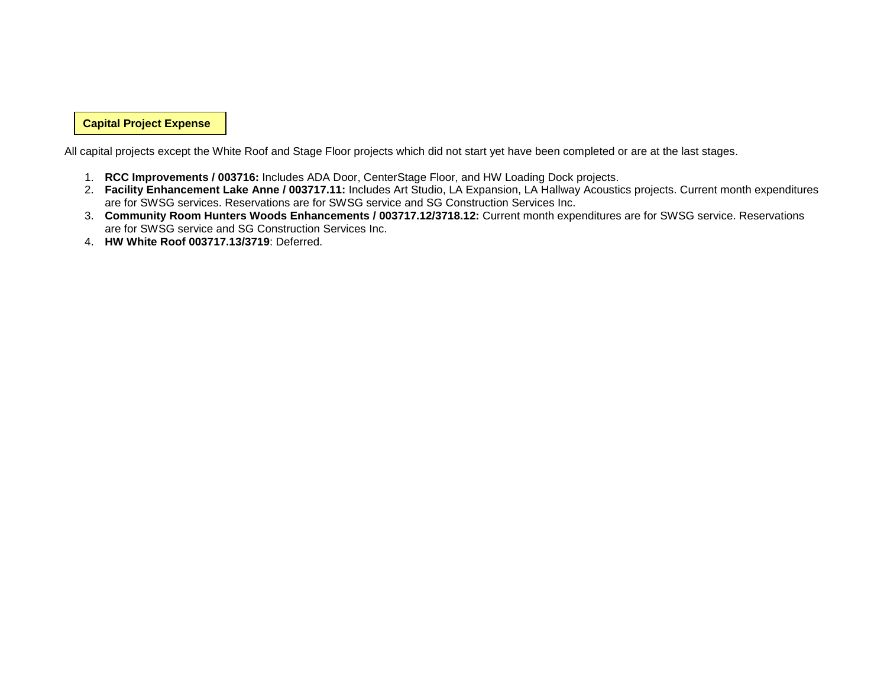**Capital Project Expense**

All capital projects except the White Roof and Stage Floor projects which did not start yet have been completed or are at the last stages.

- 1. **RCC Improvements / 003716:** Includes ADA Door, CenterStage Floor, and HW Loading Dock projects.
- 2. **Facility Enhancement Lake Anne / 003717.11:** Includes Art Studio, LA Expansion, LA Hallway Acoustics projects. Current month expenditures are for SWSG services. Reservations are for SWSG service and SG Construction Services Inc.
- 3. **Community Room Hunters Woods Enhancements / 003717.12/3718.12:** Current month expenditures are for SWSG service. Reservations are for SWSG service and SG Construction Services Inc.
- 4. **HW White Roof 003717.13/3719**: Deferred.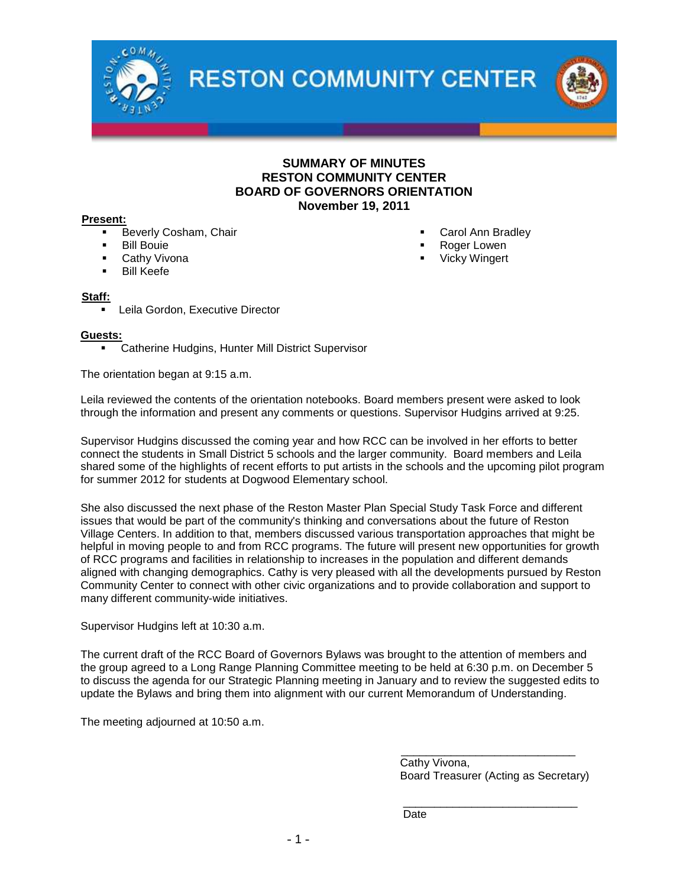

## **SUMMARY OF MINUTES RESTON COMMUNITY CENTER BOARD OF GOVERNORS ORIENTATION November 19, 2011**

#### **Present:**

- Beverly Cosham, Chair
- Bill Bouie
- Cathy Vivona
- Bill Keefe

#### **Staff:**

Leila Gordon, Executive Director

#### **Guests:**

**EXEC** Catherine Hudgins, Hunter Mill District Supervisor

The orientation began at 9:15 a.m.

Leila reviewed the contents of the orientation notebooks. Board members present were asked to look through the information and present any comments or questions. Supervisor Hudgins arrived at 9:25.

Supervisor Hudgins discussed the coming year and how RCC can be involved in her efforts to better connect the students in Small District 5 schools and the larger community. Board members and Leila shared some of the highlights of recent efforts to put artists in the schools and the upcoming pilot program for summer 2012 for students at Dogwood Elementary school.

She also discussed the next phase of the Reston Master Plan Special Study Task Force and different issues that would be part of the community's thinking and conversations about the future of Reston Village Centers. In addition to that, members discussed various transportation approaches that might be helpful in moving people to and from RCC programs. The future will present new opportunities for growth of RCC programs and facilities in relationship to increases in the population and different demands aligned with changing demographics. Cathy is very pleased with all the developments pursued by Reston Community Center to connect with other civic organizations and to provide collaboration and support to many different community-wide initiatives.

Supervisor Hudgins left at 10:30 a.m.

The current draft of the RCC Board of Governors Bylaws was brought to the attention of members and the group agreed to a Long Range Planning Committee meeting to be held at 6:30 p.m. on December 5 to discuss the agenda for our Strategic Planning meeting in January and to review the suggested edits to update the Bylaws and bring them into alignment with our current Memorandum of Understanding.

The meeting adjourned at 10:50 a.m.

Cathy Vivona, Board Treasurer (Acting as Secretary)

\_\_\_\_\_\_\_\_\_\_\_\_\_\_\_\_\_\_\_\_\_\_\_\_\_\_\_\_

\_\_\_\_\_\_\_\_\_\_\_\_\_\_\_\_\_\_\_\_\_\_\_\_\_\_\_\_

**Date** 

- Carol Ann Bradley
- Roger Lowen
- Vicky Wingert